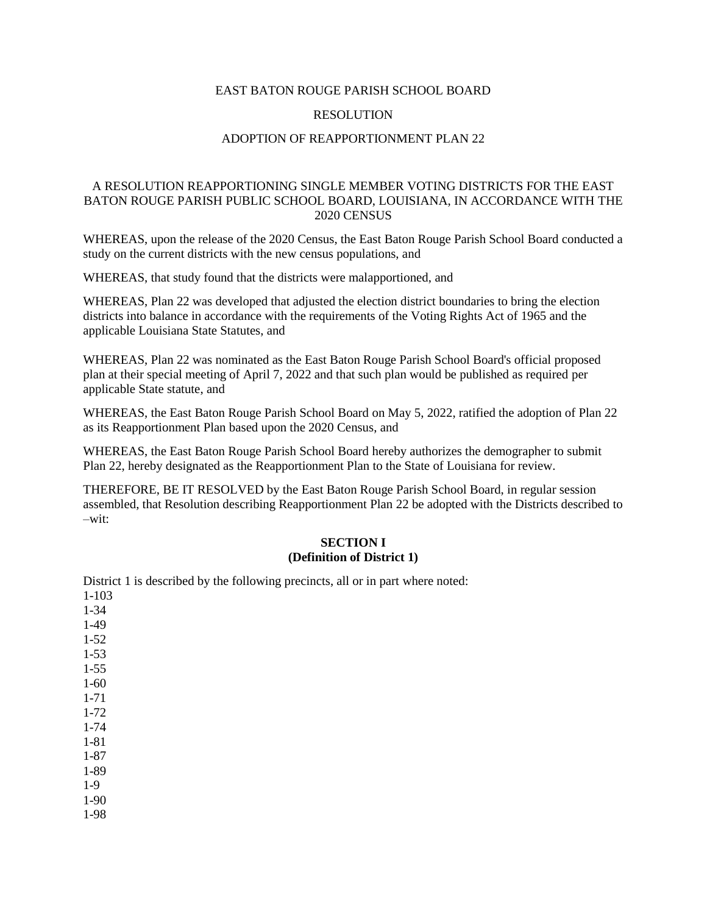#### EAST BATON ROUGE PARISH SCHOOL BOARD

### **RESOLUTION**

#### ADOPTION OF REAPPORTIONMENT PLAN 22

## A RESOLUTION REAPPORTIONING SINGLE MEMBER VOTING DISTRICTS FOR THE EAST BATON ROUGE PARISH PUBLIC SCHOOL BOARD, LOUISIANA, IN ACCORDANCE WITH THE 2020 CENSUS

WHEREAS, upon the release of the 2020 Census, the East Baton Rouge Parish School Board conducted a study on the current districts with the new census populations, and

WHEREAS, that study found that the districts were malapportioned, and

WHEREAS, Plan 22 was developed that adjusted the election district boundaries to bring the election districts into balance in accordance with the requirements of the Voting Rights Act of 1965 and the applicable Louisiana State Statutes, and

WHEREAS, Plan 22 was nominated as the East Baton Rouge Parish School Board's official proposed plan at their special meeting of April 7, 2022 and that such plan would be published as required per applicable State statute, and

WHEREAS, the East Baton Rouge Parish School Board on May 5, 2022, ratified the adoption of Plan 22 as its Reapportionment Plan based upon the 2020 Census, and

WHEREAS, the East Baton Rouge Parish School Board hereby authorizes the demographer to submit Plan 22, hereby designated as the Reapportionment Plan to the State of Louisiana for review.

THEREFORE, BE IT RESOLVED by the East Baton Rouge Parish School Board, in regular session assembled, that Resolution describing Reapportionment Plan 22 be adopted with the Districts described to  $-w$ it:

#### **SECTION I (Definition of District 1)**

District 1 is described by the following precincts, all or in part where noted: 1-103 1-34 1-49 1-52 1-53 1-55 1-60 1-71 1-72 1-74 1-81 1-87 1-89 1-9 1-90 1-98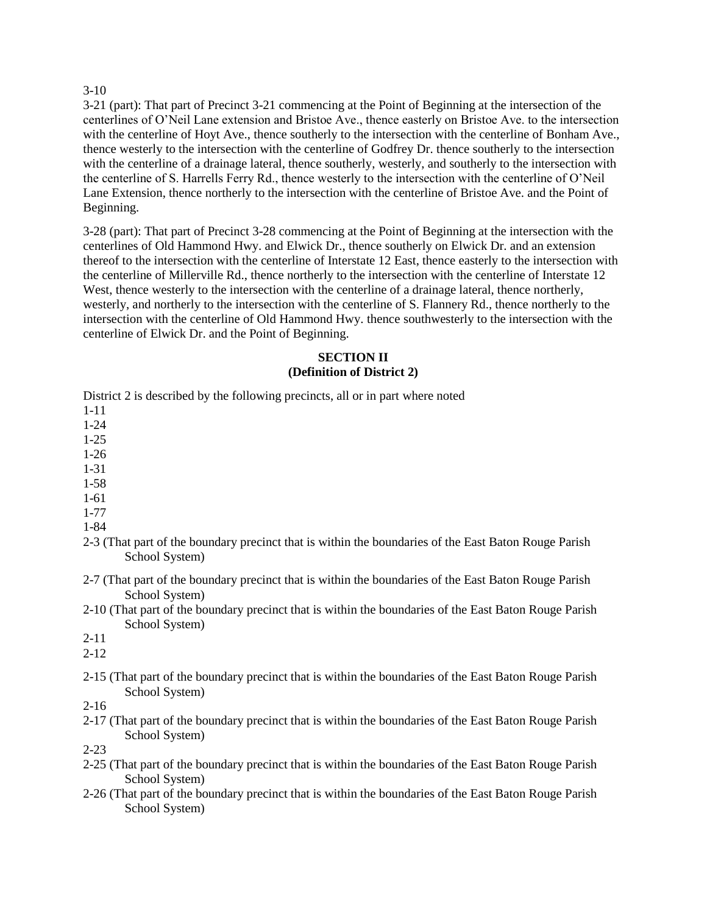### 3-10

3-21 (part): That part of Precinct 3-21 commencing at the Point of Beginning at the intersection of the centerlines of O'Neil Lane extension and Bristoe Ave., thence easterly on Bristoe Ave. to the intersection with the centerline of Hoyt Ave., thence southerly to the intersection with the centerline of Bonham Ave., thence westerly to the intersection with the centerline of Godfrey Dr. thence southerly to the intersection with the centerline of a drainage lateral, thence southerly, westerly, and southerly to the intersection with the centerline of S. Harrells Ferry Rd., thence westerly to the intersection with the centerline of O'Neil Lane Extension, thence northerly to the intersection with the centerline of Bristoe Ave. and the Point of Beginning.

3-28 (part): That part of Precinct 3-28 commencing at the Point of Beginning at the intersection with the centerlines of Old Hammond Hwy. and Elwick Dr., thence southerly on Elwick Dr. and an extension thereof to the intersection with the centerline of Interstate 12 East, thence easterly to the intersection with the centerline of Millerville Rd., thence northerly to the intersection with the centerline of Interstate 12 West, thence westerly to the intersection with the centerline of a drainage lateral, thence northerly, westerly, and northerly to the intersection with the centerline of S. Flannery Rd., thence northerly to the intersection with the centerline of Old Hammond Hwy. thence southwesterly to the intersection with the centerline of Elwick Dr. and the Point of Beginning.

## **SECTION II (Definition of District 2)**

District 2 is described by the following precincts, all or in part where noted

- 1-11
- 1-24
- 1-25 1-26
- 1-31
- 1-58
- 1-61
- 1-77
- 1-84
- 2-3 (That part of the boundary precinct that is within the boundaries of the East Baton Rouge Parish School System)
- 2-7 (That part of the boundary precinct that is within the boundaries of the East Baton Rouge Parish School System)
- 2-10 (That part of the boundary precinct that is within the boundaries of the East Baton Rouge Parish School System)
- 2-11

2-12

2-15 (That part of the boundary precinct that is within the boundaries of the East Baton Rouge Parish School System)

2-16

2-17 (That part of the boundary precinct that is within the boundaries of the East Baton Rouge Parish School System)

2-23

- 2-25 (That part of the boundary precinct that is within the boundaries of the East Baton Rouge Parish School System)
- 2-26 (That part of the boundary precinct that is within the boundaries of the East Baton Rouge Parish School System)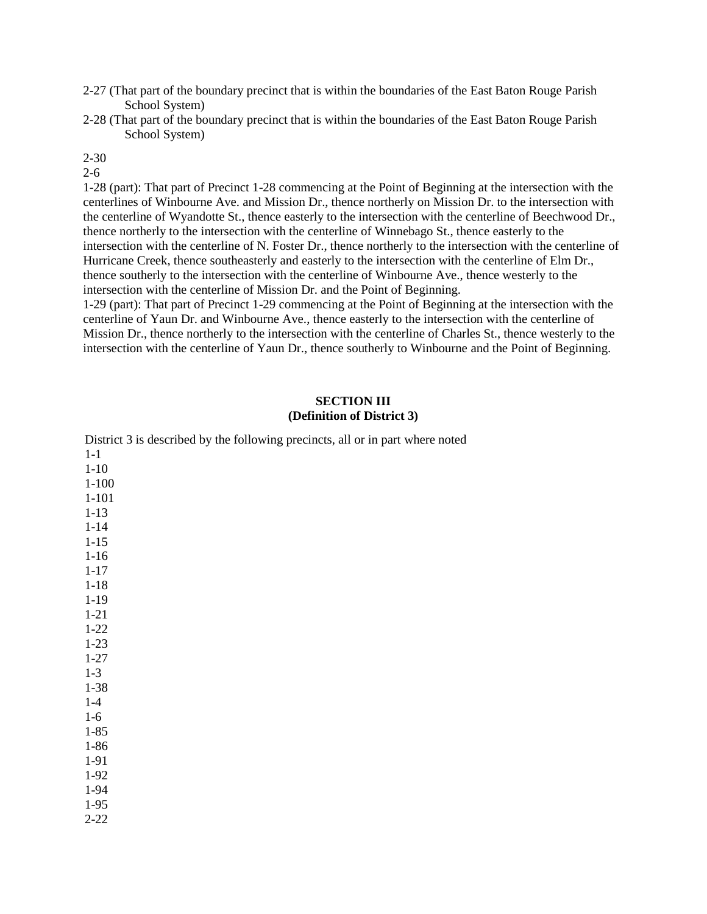- 2-27 (That part of the boundary precinct that is within the boundaries of the East Baton Rouge Parish School System)
- 2-28 (That part of the boundary precinct that is within the boundaries of the East Baton Rouge Parish School System)

## 2-30

#### 2-6

1-28 (part): That part of Precinct 1-28 commencing at the Point of Beginning at the intersection with the centerlines of Winbourne Ave. and Mission Dr., thence northerly on Mission Dr. to the intersection with the centerline of Wyandotte St., thence easterly to the intersection with the centerline of Beechwood Dr., thence northerly to the intersection with the centerline of Winnebago St., thence easterly to the intersection with the centerline of N. Foster Dr., thence northerly to the intersection with the centerline of Hurricane Creek, thence southeasterly and easterly to the intersection with the centerline of Elm Dr., thence southerly to the intersection with the centerline of Winbourne Ave., thence westerly to the intersection with the centerline of Mission Dr. and the Point of Beginning.

1-29 (part): That part of Precinct 1-29 commencing at the Point of Beginning at the intersection with the centerline of Yaun Dr. and Winbourne Ave., thence easterly to the intersection with the centerline of Mission Dr., thence northerly to the intersection with the centerline of Charles St., thence westerly to the intersection with the centerline of Yaun Dr., thence southerly to Winbourne and the Point of Beginning.

#### **SECTION III (Definition of District 3)**

| District 3 is described by the following precincts, all or in part where noted |  |
|--------------------------------------------------------------------------------|--|
| $1-1$                                                                          |  |
| $1 - 10$                                                                       |  |
| $1 - 100$                                                                      |  |
| $1 - 101$                                                                      |  |
| $1 - 13$                                                                       |  |
| $1 - 14$                                                                       |  |
| $1 - 15$                                                                       |  |
| $1 - 16$                                                                       |  |
| $1 - 17$                                                                       |  |
| $1 - 18$                                                                       |  |
| $1 - 19$                                                                       |  |
| $1 - 21$                                                                       |  |
| $1 - 22$                                                                       |  |
| $1 - 23$                                                                       |  |
| $1 - 27$                                                                       |  |
| $1-3$                                                                          |  |
| $1 - 38$                                                                       |  |
| $1-4$                                                                          |  |
| $1-6$                                                                          |  |
| $1 - 85$                                                                       |  |
| $1 - 86$                                                                       |  |
| 1-91                                                                           |  |
| 1-92                                                                           |  |
| 1-94                                                                           |  |
| $1-95$                                                                         |  |
| $2 - 22$                                                                       |  |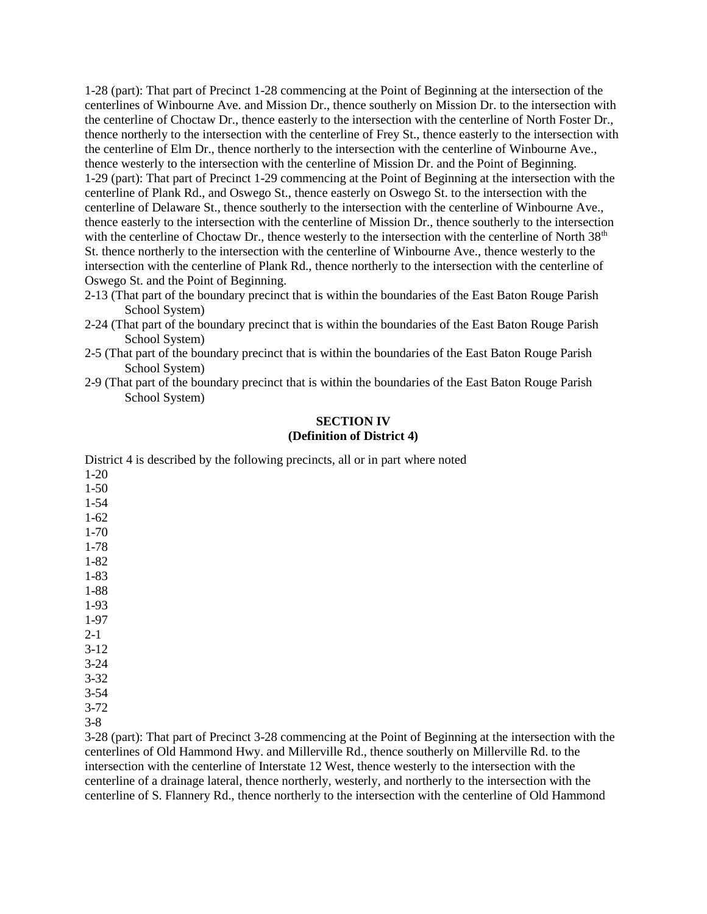1-28 (part): That part of Precinct 1-28 commencing at the Point of Beginning at the intersection of the centerlines of Winbourne Ave. and Mission Dr., thence southerly on Mission Dr. to the intersection with the centerline of Choctaw Dr., thence easterly to the intersection with the centerline of North Foster Dr., thence northerly to the intersection with the centerline of Frey St., thence easterly to the intersection with the centerline of Elm Dr., thence northerly to the intersection with the centerline of Winbourne Ave., thence westerly to the intersection with the centerline of Mission Dr. and the Point of Beginning. 1-29 (part): That part of Precinct 1-29 commencing at the Point of Beginning at the intersection with the centerline of Plank Rd., and Oswego St., thence easterly on Oswego St. to the intersection with the centerline of Delaware St., thence southerly to the intersection with the centerline of Winbourne Ave., thence easterly to the intersection with the centerline of Mission Dr., thence southerly to the intersection with the centerline of Choctaw Dr., thence westerly to the intersection with the centerline of North  $38<sup>th</sup>$ St. thence northerly to the intersection with the centerline of Winbourne Ave., thence westerly to the intersection with the centerline of Plank Rd., thence northerly to the intersection with the centerline of Oswego St. and the Point of Beginning.

- 2-13 (That part of the boundary precinct that is within the boundaries of the East Baton Rouge Parish School System)
- 2-24 (That part of the boundary precinct that is within the boundaries of the East Baton Rouge Parish School System)
- 2-5 (That part of the boundary precinct that is within the boundaries of the East Baton Rouge Parish School System)
- 2-9 (That part of the boundary precinct that is within the boundaries of the East Baton Rouge Parish School System)

## **SECTION IV (Definition of District 4)**

District 4 is described by the following precincts, all or in part where noted 1-20

1-50 1-54 1-62 1-70 1-78 1-82 1-83 1-88 1-93 1-97 2-1 3-12 3-24 3-32 3-54

3-72

3-8

3-28 (part): That part of Precinct 3-28 commencing at the Point of Beginning at the intersection with the centerlines of Old Hammond Hwy. and Millerville Rd., thence southerly on Millerville Rd. to the intersection with the centerline of Interstate 12 West, thence westerly to the intersection with the centerline of a drainage lateral, thence northerly, westerly, and northerly to the intersection with the centerline of S. Flannery Rd., thence northerly to the intersection with the centerline of Old Hammond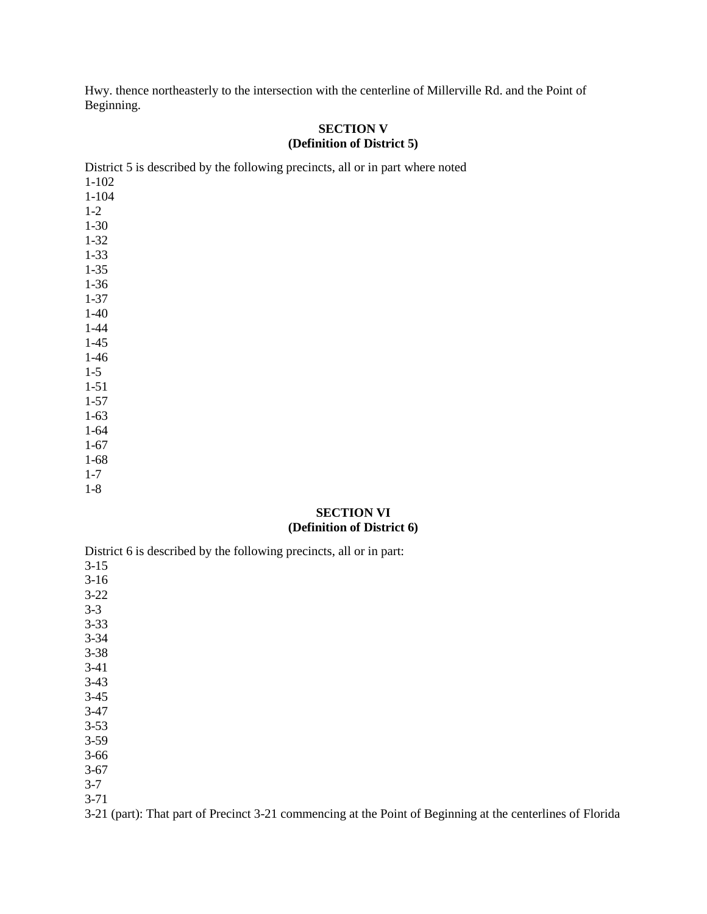Hwy. thence northeasterly to the intersection with the centerline of Millerville Rd. and the Point of Beginning.

# **SECTION V (Definition of District 5)**

| District 5 is described by the following precincts, all or in part where noted |
|--------------------------------------------------------------------------------|
| $1 - 102$                                                                      |
| $1 - 104$                                                                      |
| $1 - 2$                                                                        |
| $1-30$                                                                         |
| $1 - 32$                                                                       |
| $1 - 33$                                                                       |
| $1 - 35$                                                                       |
| $1-36$                                                                         |
| $1 - 37$                                                                       |
| $1-40$                                                                         |
| $1 - 44$                                                                       |
| $1-45$                                                                         |
| $1-46$                                                                         |
| $1 - 5$                                                                        |
| $1 - 51$                                                                       |
| $1 - 57$                                                                       |
| $1-63$                                                                         |
| $1 - 64$                                                                       |
| $1-67$                                                                         |
| $1-68$                                                                         |
| $1 - 7$                                                                        |
| $1-8$                                                                          |
| <b>SECTION VI</b>                                                              |

#### **(Definition of District 6)**

District 6 is described by the following precincts, all or in part: 3-15

3-16 3-22 3-3 3-33 3-34 3-38 3-41 3-43 3-45 3-47 3-53 3-59

3-66

3-67

3-7

3-71

3-21 (part): That part of Precinct 3-21 commencing at the Point of Beginning at the centerlines of Florida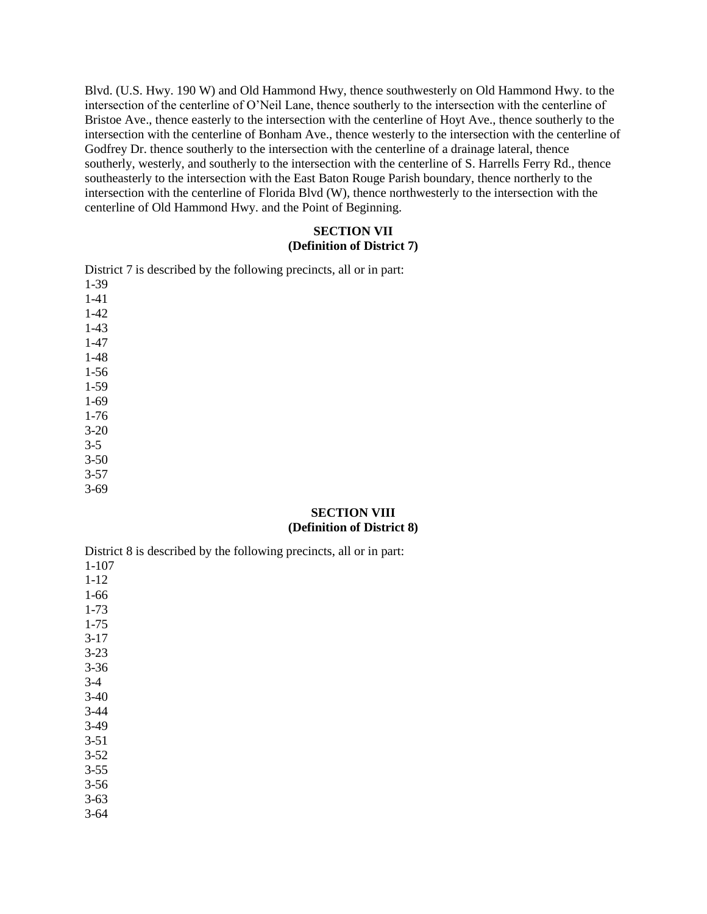Blvd. (U.S. Hwy. 190 W) and Old Hammond Hwy, thence southwesterly on Old Hammond Hwy. to the intersection of the centerline of O'Neil Lane, thence southerly to the intersection with the centerline of Bristoe Ave., thence easterly to the intersection with the centerline of Hoyt Ave., thence southerly to the intersection with the centerline of Bonham Ave., thence westerly to the intersection with the centerline of Godfrey Dr. thence southerly to the intersection with the centerline of a drainage lateral, thence southerly, westerly, and southerly to the intersection with the centerline of S. Harrells Ferry Rd., thence southeasterly to the intersection with the East Baton Rouge Parish boundary, thence northerly to the intersection with the centerline of Florida Blvd (W), thence northwesterly to the intersection with the centerline of Old Hammond Hwy. and the Point of Beginning.

## **SECTION VII (Definition of District 7)**

| District 7 is described by the following precincts, all or in part: |
|---------------------------------------------------------------------|
| $1-39$                                                              |
| $1 - 41$                                                            |
| $1-42$                                                              |
| $1-43$                                                              |
| $1-47$                                                              |
| $1 - 48$                                                            |
| $1-56$                                                              |
| $1-59$                                                              |
| $1-69$                                                              |
| $1-76$                                                              |
| $3 - 20$                                                            |
| $3 - 5$                                                             |
| $3 - 50$                                                            |
| $3 - 57$                                                            |
| $3 - 69$                                                            |
|                                                                     |

#### **SECTION VIII (Definition of District 8)**

District 8 is described by the following precincts, all or in part: 1-107 1-12 1-66 1-73 1-75 3-17 3-23 3-36 3-4

- 3-40 3-44 3-49 3-51
- 3-52
- 3-55
- 3-56
- 3-63
- 3-64